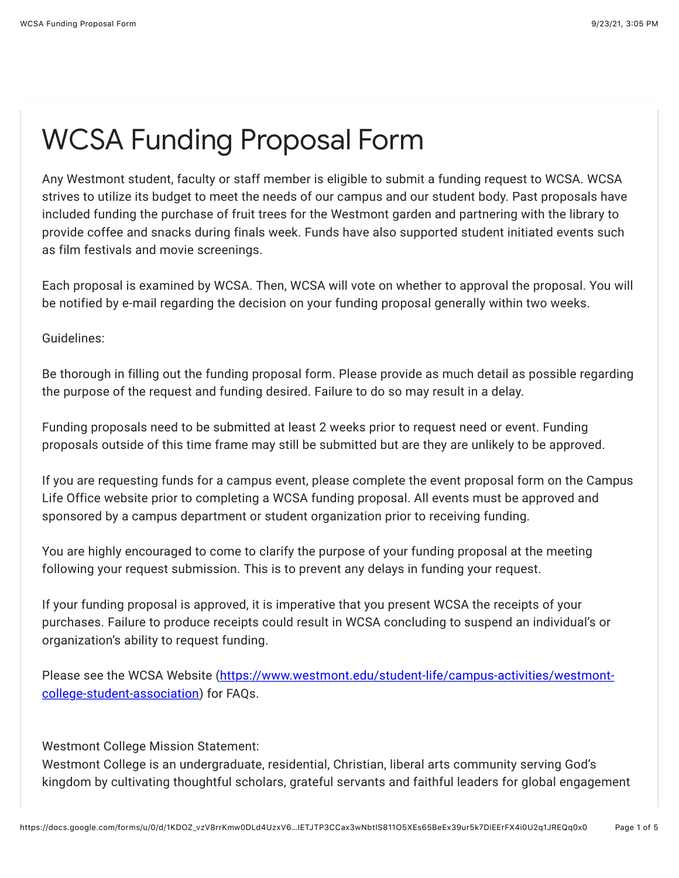## WCSA Funding Proposal Form

Any Westmont student, faculty or staff member is eligible to submit a funding request to WCSA. WCSA strives to utilize its budget to meet the needs of our campus and our student body. Past proposals have included funding the purchase of fruit trees for the Westmont garden and partnering with the library to provide coffee and snacks during finals week. Funds have also supported student initiated events such as film festivals and movie screenings.

Each proposal is examined by WCSA. Then, WCSA will vote on whether to approval the proposal. You will be notified by e-mail regarding the decision on your funding proposal generally within two weeks.

Guidelines:

Be thorough in filling out the funding proposal form. Please provide as much detail as possible regarding the purpose of the request and funding desired. Failure to do so may result in a delay.

Funding proposals need to be submitted at least 2 weeks prior to request need or event. Funding proposals outside of this time frame may still be submitted but are they are unlikely to be approved.

If you are requesting funds for a campus event, please complete the event proposal form on the Campus Life Office website prior to completing a WCSA funding proposal. All events must be approved and sponsored by a campus department or student organization prior to receiving funding.

You are highly encouraged to come to clarify the purpose of your funding proposal at the meeting following your request submission. This is to prevent any delays in funding your request.

If your funding proposal is approved, it is imperative that you present WCSA the receipts of your purchases. Failure to produce receipts could result in WCSA concluding to suspend an individual's or organization's ability to request funding.

[Please see the WCSA Website \(https://www.westmont.edu/student-life/campus-activities/westmont](https://www.google.com/url?q=https://www.westmont.edu/student-life/campus-activities/westmont-college-student-association&sa=D&source=editors&ust=1632438320346000&usg=AFQjCNHWDKCMgatXo8gnLjIw1SpGInb9Iw)college-student-association) for FAQs.

Westmont College Mission Statement:

Westmont College is an undergraduate, residential, Christian, liberal arts community serving God's kingdom by cultivating thoughtful scholars, grateful servants and faithful leaders for global engagement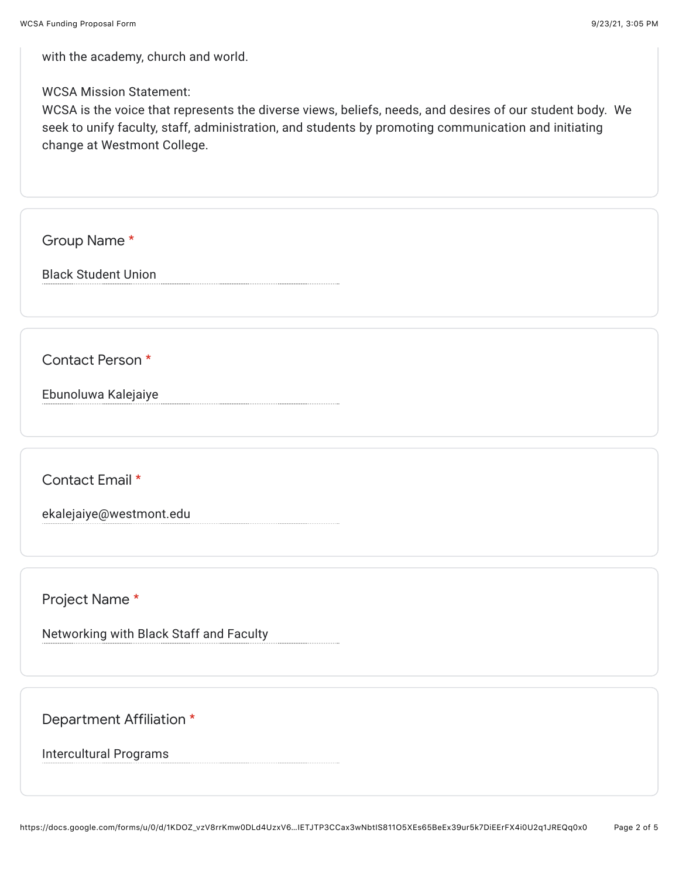with the academy, church and world.

WCSA Mission Statement:

WCSA is the voice that represents the diverse views, beliefs, needs, and desires of our student body. We seek to unify faculty, staff, administration, and students by promoting communication and initiating change at Westmont College.

Group Name \*

Black Student Union

Contact Person \*

Ebunoluwa Kalejaiye

Contact Email \*

ekalejaiye@westmont.edu

Project Name \*

Networking with Black Staff and Faculty

Department Affiliation \*

Intercultural Programs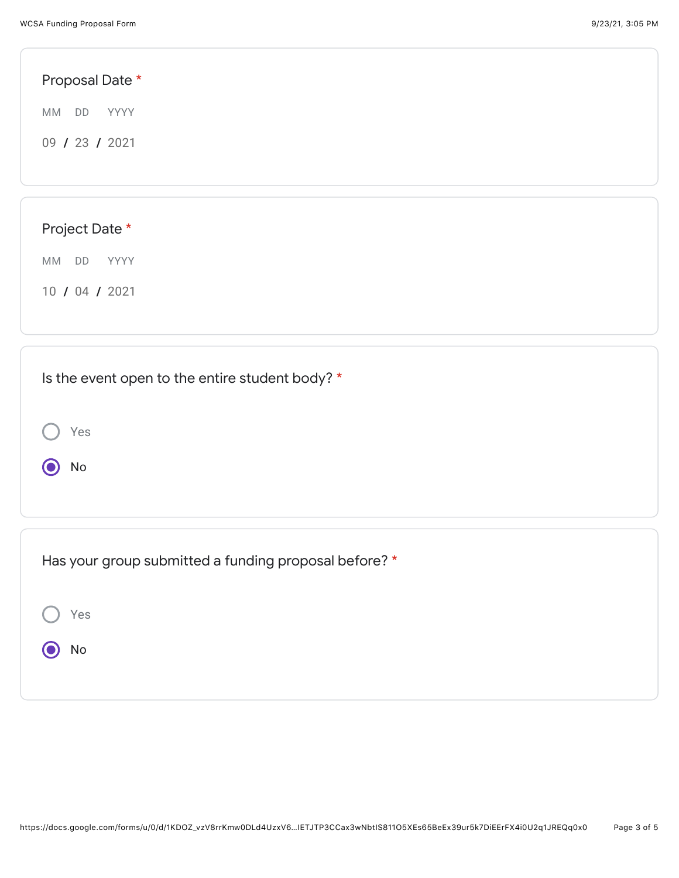Yes

O No

| Proposal Date * |  |  |  |
|-----------------|--|--|--|
| MM DD<br>YYYY   |  |  |  |
| 09 / 23 / 2021  |  |  |  |
|                 |  |  |  |
|                 |  |  |  |
| Project Date *  |  |  |  |
| MM DD<br>YYYY   |  |  |  |
| 10 / 04 / 2021  |  |  |  |
|                 |  |  |  |
|                 |  |  |  |

| Has your group submitted a funding proposal before? * |  |
|-------------------------------------------------------|--|
| Yes                                                   |  |
| No                                                    |  |
|                                                       |  |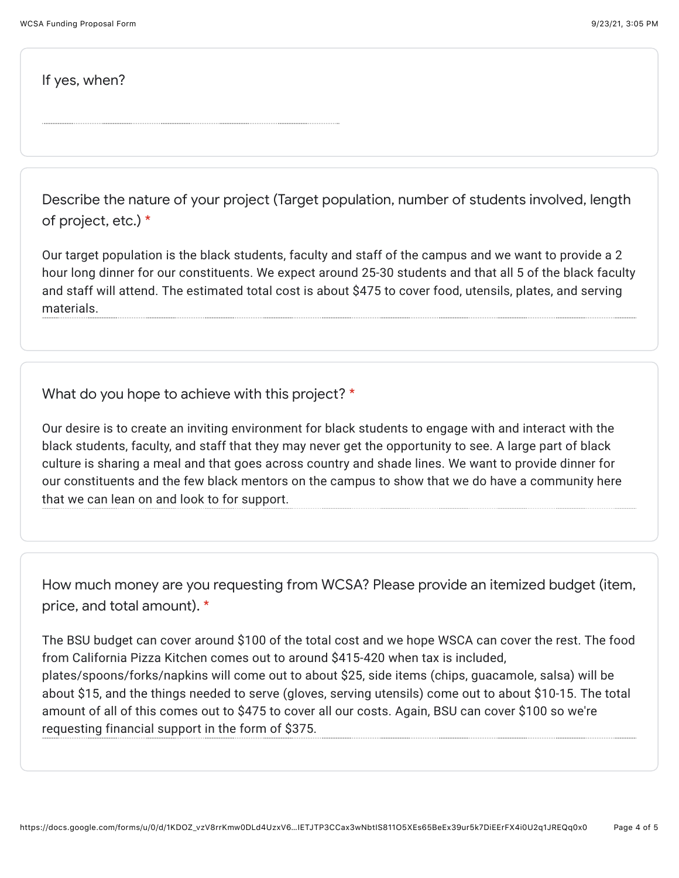If yes, when?

Describe the nature of your project (Target population, number of students involved, length of project, etc.) \*

Our target population is the black students, faculty and staff of the campus and we want to provide a 2 hour long dinner for our constituents. We expect around 25-30 students and that all 5 of the black faculty and staff will attend. The estimated total cost is about \$475 to cover food, utensils, plates, and serving materials.

What do you hope to achieve with this project? \*

Our desire is to create an inviting environment for black students to engage with and interact with the black students, faculty, and staff that they may never get the opportunity to see. A large part of black culture is sharing a meal and that goes across country and shade lines. We want to provide dinner for our constituents and the few black mentors on the campus to show that we do have a community here that we can lean on and look to for support.

How much money are you requesting from WCSA? Please provide an itemized budget (item, price, and total amount). \*

The BSU budget can cover around \$100 of the total cost and we hope WSCA can cover the rest. The food from California Pizza Kitchen comes out to around \$415-420 when tax is included, plates/spoons/forks/napkins will come out to about \$25, side items (chips, guacamole, salsa) will be about \$15, and the things needed to serve (gloves, serving utensils) come out to about \$10-15. The total amount of all of this comes out to \$475 to cover all our costs. Again, BSU can cover \$100 so we're requesting financial support in the form of \$375.